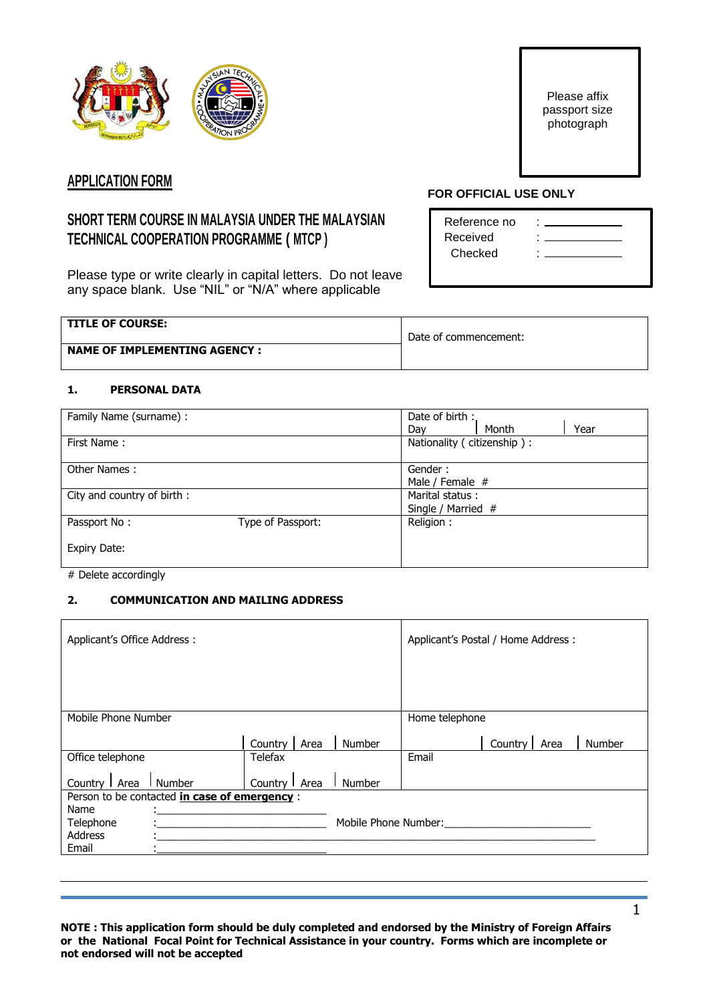

Please affix passport size photograph

## **APPLICATION FORM**

# **SHORT TERM COURSE IN MALAYSIA UNDER THE MALAYSIAN TECHNICAL COOPERATION PROGRAMME ( MTCP )**

Please type or write clearly in capital letters. Do not leave any space blank. Use "NIL" or "N/A" where applicable

#### **TITLE OF COURSE:**

## **FOR OFFICIAL USE ONLY**

| Reference no | ٠ |
|--------------|---|
| Received     | ۰ |
| Checked      | ٠ |
|              |   |

| <b>TITLE OF COURSE:</b>       | Date of commencement: |
|-------------------------------|-----------------------|
| NAME OF IMPLEMENTING AGENCY : |                       |

## **1. PERSONAL DATA**

| Family Name (surname) :    |                   | Date of birth :            |  |
|----------------------------|-------------------|----------------------------|--|
|                            |                   | Year<br>Month<br>Dav       |  |
| First Name:                |                   | Nationality (citizenship): |  |
| Other Names:               |                   | Gender:<br>Male / Female # |  |
| City and country of birth: |                   | Marital status:            |  |
|                            |                   | Single / Married #         |  |
| Passport No:               | Type of Passport: | Religion:                  |  |
| <b>Expiry Date:</b>        |                   |                            |  |

# Delete accordingly

### **2. COMMUNICATION AND MAILING ADDRESS**

| Applicant's Office Address : |                                               |                 |                      |                | Applicant's Postal / Home Address : |        |
|------------------------------|-----------------------------------------------|-----------------|----------------------|----------------|-------------------------------------|--------|
|                              |                                               |                 |                      |                |                                     |        |
|                              |                                               |                 |                      |                |                                     |        |
| Mobile Phone Number          |                                               |                 |                      | Home telephone |                                     |        |
|                              |                                               | Country<br>Area | Number               |                | Country<br>Area                     | Number |
| Office telephone             |                                               | Telefax         |                      | Email          |                                     |        |
| Country   Area               | Number                                        | Country   Area  | Number               |                |                                     |        |
|                              | Person to be contacted in case of emergency : |                 |                      |                |                                     |        |
| Name                         |                                               |                 |                      |                |                                     |        |
| Telephone                    |                                               |                 | Mobile Phone Number: |                |                                     |        |
| Address                      |                                               |                 |                      |                |                                     |        |
| Email                        |                                               |                 |                      |                |                                     |        |
|                              |                                               |                 |                      |                |                                     |        |

**NOTE : This application form should be duly completed and endorsed by the Ministry of Foreign Affairs or the National Focal Point for Technical Assistance in your country. Forms which are incomplete or not endorsed will not be accepted**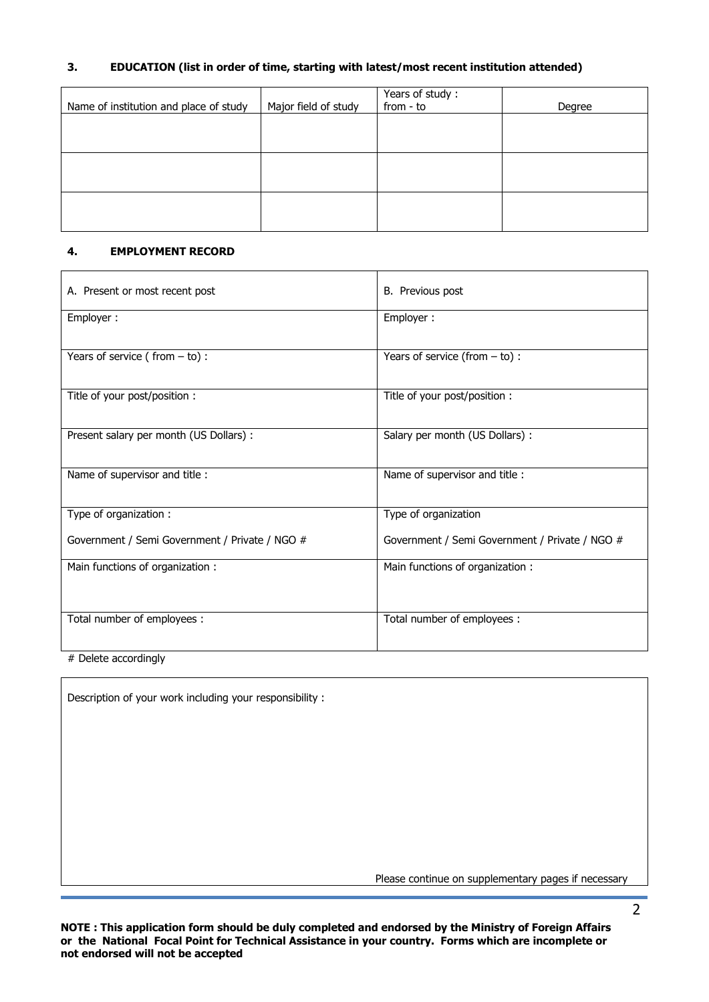## **3. EDUCATION (list in order of time, starting with latest/most recent institution attended)**

| Name of institution and place of study | Major field of study | Years of study:<br>from - to | Degree |
|----------------------------------------|----------------------|------------------------------|--------|
|                                        |                      |                              |        |
|                                        |                      |                              |        |
|                                        |                      |                              |        |
|                                        |                      |                              |        |
|                                        |                      |                              |        |

#### **4. EMPLOYMENT RECORD**

| A. Present or most recent post                 | <b>B.</b> Previous post                        |
|------------------------------------------------|------------------------------------------------|
| Employer:                                      | Employer:                                      |
| Years of service (from $-$ to) :               | Years of service (from $-$ to) :               |
| Title of your post/position :                  | Title of your post/position:                   |
| Present salary per month (US Dollars) :        | Salary per month (US Dollars) :                |
| Name of supervisor and title :                 | Name of supervisor and title :                 |
| Type of organization:                          | Type of organization                           |
| Government / Semi Government / Private / NGO # | Government / Semi Government / Private / NGO # |
| Main functions of organization:                | Main functions of organization:                |
| Total number of employees :                    | Total number of employees :                    |

# Delete accordingly

Description of your work including your responsibility :

Please continue on supplementary pages if necessary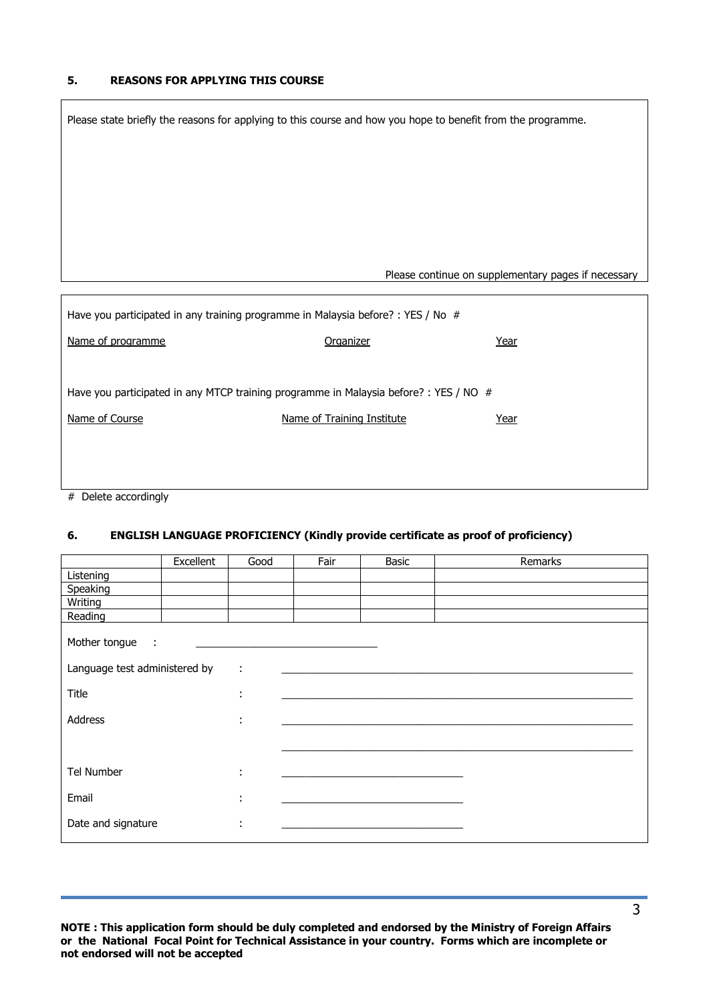#### **5. REASONS FOR APPLYING THIS COURSE**

|                                                                                  | Please state briefly the reasons for applying to this course and how you hope to benefit from the programme. |                                                     |
|----------------------------------------------------------------------------------|--------------------------------------------------------------------------------------------------------------|-----------------------------------------------------|
|                                                                                  |                                                                                                              |                                                     |
|                                                                                  |                                                                                                              |                                                     |
|                                                                                  |                                                                                                              |                                                     |
|                                                                                  |                                                                                                              |                                                     |
|                                                                                  |                                                                                                              | Please continue on supplementary pages if necessary |
| Have you participated in any training programme in Malaysia before? : YES / No # |                                                                                                              |                                                     |
| Name of programme                                                                | Organizer                                                                                                    | Year                                                |
|                                                                                  |                                                                                                              |                                                     |
|                                                                                  | Have you participated in any MTCP training programme in Malaysia before? : YES / NO #                        |                                                     |
| Name of Course                                                                   | Name of Training Institute                                                                                   | Year                                                |
|                                                                                  |                                                                                                              |                                                     |
|                                                                                  |                                                                                                              |                                                     |
| # Delete accordingly                                                             |                                                                                                              |                                                     |

#### **6. ENGLISH LANGUAGE PROFICIENCY (Kindly provide certificate as proof of proficiency)**

|                                                  | Excellent | Good                             | Fair | Basic | Remarks |
|--------------------------------------------------|-----------|----------------------------------|------|-------|---------|
| Listening                                        |           |                                  |      |       |         |
| Speaking                                         |           |                                  |      |       |         |
| Writing                                          |           |                                  |      |       |         |
| Reading                                          |           |                                  |      |       |         |
| Mother tongue :<br>Language test administered by |           | ÷                                |      |       |         |
|                                                  |           |                                  |      |       |         |
| Title                                            |           | ٠<br>$\blacksquare$              |      |       |         |
| Address                                          |           | ÷                                |      |       |         |
|                                                  |           |                                  |      |       |         |
| Tel Number                                       |           | ٠<br>$\blacksquare$              |      |       |         |
| Email                                            |           | $\blacksquare$<br>$\blacksquare$ |      |       |         |
| Date and signature                               |           | ÷                                |      |       |         |
|                                                  |           |                                  |      |       |         |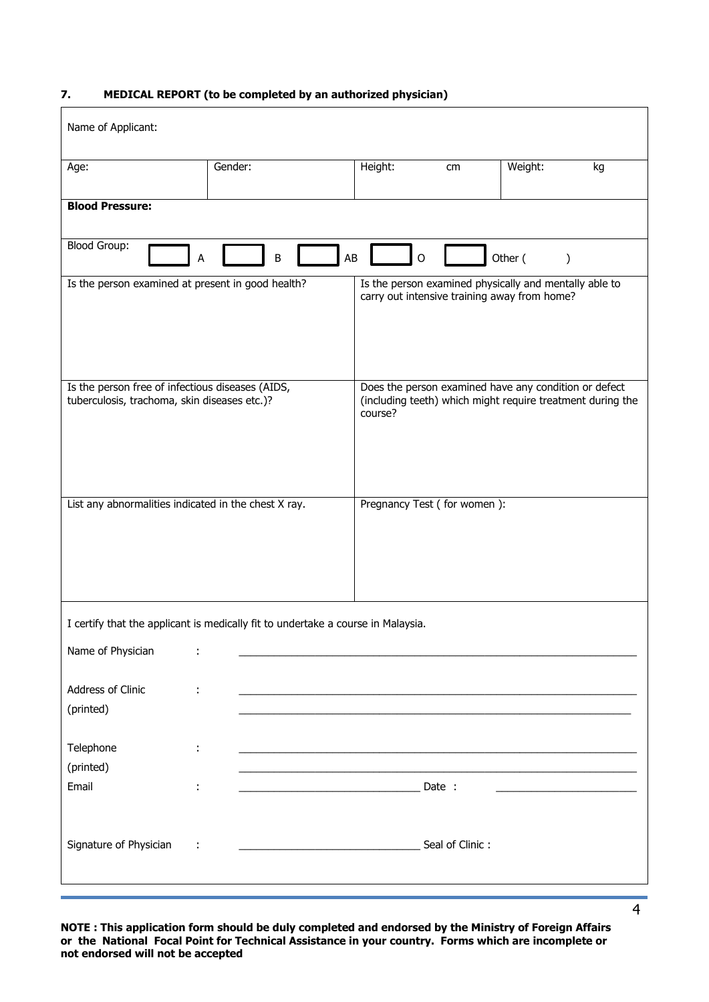## **7. MEDICAL REPORT (to be completed by an authorized physician)**

| Name of Applicant:                                                                               |                                                                                  |                                                                                                        |                 |         |                                                            |
|--------------------------------------------------------------------------------------------------|----------------------------------------------------------------------------------|--------------------------------------------------------------------------------------------------------|-----------------|---------|------------------------------------------------------------|
| Age:                                                                                             | Gender:                                                                          | Height:                                                                                                | cm              | Weight: | kg                                                         |
| <b>Blood Pressure:</b>                                                                           |                                                                                  |                                                                                                        |                 |         |                                                            |
| <b>Blood Group:</b>                                                                              | B<br>А                                                                           | AB<br>O                                                                                                |                 | Other ( | $\mathcal{E}$                                              |
| Is the person examined at present in good health?                                                |                                                                                  | Is the person examined physically and mentally able to<br>carry out intensive training away from home? |                 |         |                                                            |
| Is the person free of infectious diseases (AIDS,<br>tuberculosis, trachoma, skin diseases etc.)? |                                                                                  | Does the person examined have any condition or defect<br>course?                                       |                 |         | (including teeth) which might require treatment during the |
| List any abnormalities indicated in the chest X ray.                                             |                                                                                  | Pregnancy Test (for women):                                                                            |                 |         |                                                            |
|                                                                                                  | I certify that the applicant is medically fit to undertake a course in Malaysia. |                                                                                                        |                 |         |                                                            |
| Name of Physician                                                                                |                                                                                  |                                                                                                        |                 |         |                                                            |
| Address of Clinic<br>(printed)                                                                   |                                                                                  |                                                                                                        |                 |         |                                                            |
| Telephone<br>(printed)                                                                           |                                                                                  |                                                                                                        |                 |         |                                                            |
| Email<br>÷                                                                                       |                                                                                  |                                                                                                        | Date :          |         |                                                            |
| Signature of Physician                                                                           |                                                                                  |                                                                                                        | Seal of Clinic: |         |                                                            |

**NOTE : This application form should be duly completed and endorsed by the Ministry of Foreign Affairs or the National Focal Point for Technical Assistance in your country. Forms which are incomplete or not endorsed will not be accepted**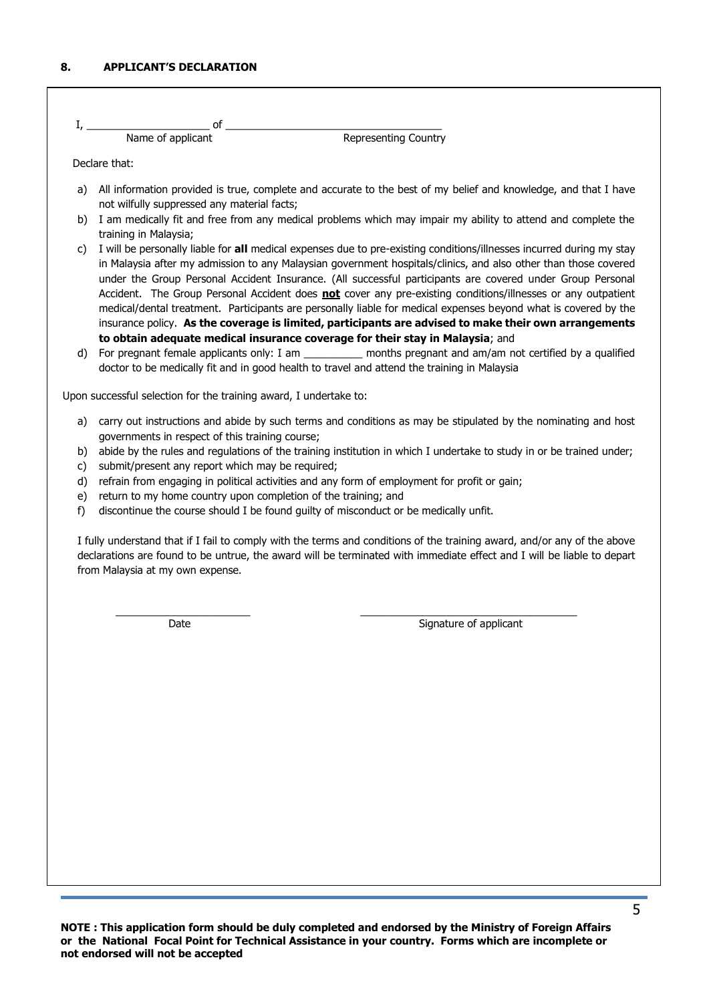| Name of applicant | <b>Representing Country</b> |
|-------------------|-----------------------------|

Declare that:

- a) All information provided is true, complete and accurate to the best of my belief and knowledge, and that I have not wilfully suppressed any material facts;
- b) I am medically fit and free from any medical problems which may impair my ability to attend and complete the training in Malaysia;
- c) I will be personally liable for **all** medical expenses due to pre-existing conditions/illnesses incurred during my stay in Malaysia after my admission to any Malaysian government hospitals/clinics, and also other than those covered under the Group Personal Accident Insurance. (All successful participants are covered under Group Personal Accident. The Group Personal Accident does **not** cover any pre-existing conditions/illnesses or any outpatient medical/dental treatment. Participants are personally liable for medical expenses beyond what is covered by the insurance policy. **As the coverage is limited, participants are advised to make their own arrangements to obtain adequate medical insurance coverage for their stay in Malaysia**; and
- d) For pregnant female applicants only: I am \_\_\_\_\_\_\_\_\_\_ months pregnant and am/am not certified by a qualified doctor to be medically fit and in good health to travel and attend the training in Malaysia

Upon successful selection for the training award, I undertake to:

- a) carry out instructions and abide by such terms and conditions as may be stipulated by the nominating and host governments in respect of this training course;
- b) abide by the rules and regulations of the training institution in which I undertake to study in or be trained under;
- c) submit/present any report which may be required;
- d) refrain from engaging in political activities and any form of employment for profit or gain;
- e) return to my home country upon completion of the training; and
- f) discontinue the course should I be found guilty of misconduct or be medically unfit.

I fully understand that if I fail to comply with the terms and conditions of the training award, and/or any of the above declarations are found to be untrue, the award will be terminated with immediate effect and I will be liable to depart from Malaysia at my own expense.

 $\frac{1}{2}$  ,  $\frac{1}{2}$  ,  $\frac{1}{2}$  ,  $\frac{1}{2}$  ,  $\frac{1}{2}$  ,  $\frac{1}{2}$  ,  $\frac{1}{2}$  ,  $\frac{1}{2}$  ,  $\frac{1}{2}$  ,  $\frac{1}{2}$  ,  $\frac{1}{2}$  ,  $\frac{1}{2}$  ,  $\frac{1}{2}$  ,  $\frac{1}{2}$  ,  $\frac{1}{2}$  ,  $\frac{1}{2}$  ,  $\frac{1}{2}$  ,  $\frac{1}{2}$  ,  $\frac{1$ 

Date **Signature of applicant**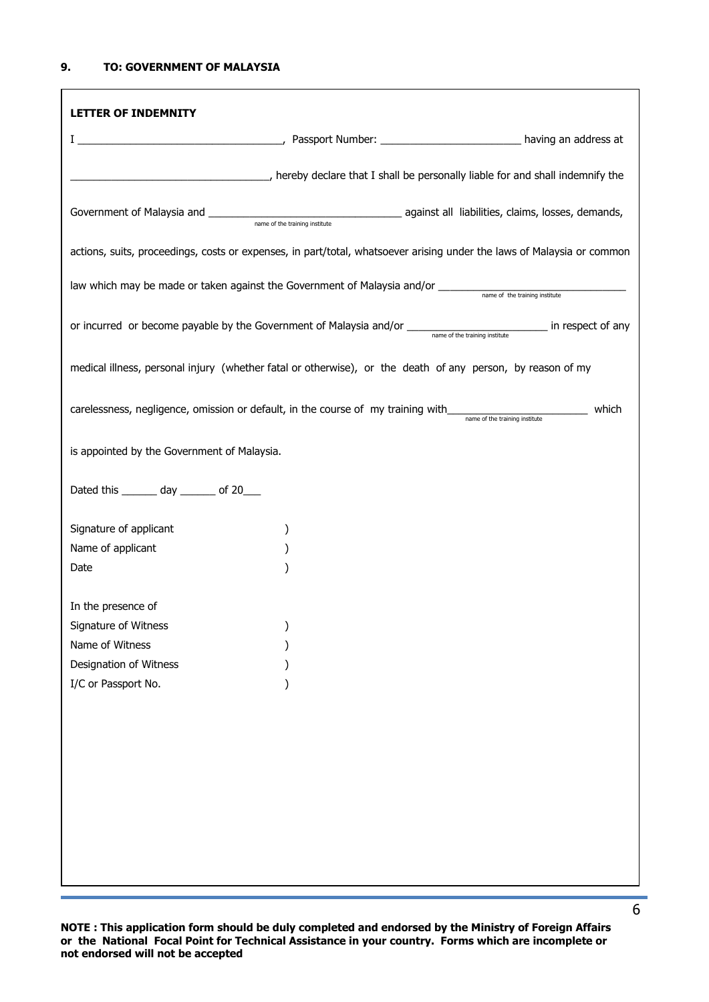| <b>LETTER OF INDEMNITY</b>                  |                                                                                                                                                 |       |
|---------------------------------------------|-------------------------------------------------------------------------------------------------------------------------------------------------|-------|
|                                             |                                                                                                                                                 |       |
|                                             | (all be personally liable for and shall indemnify the parameters), hereby declare that I shall be personally liable for and shall indemnify the |       |
|                                             |                                                                                                                                                 |       |
|                                             | actions, suits, proceedings, costs or expenses, in part/total, whatsoever arising under the laws of Malaysia or common                          |       |
|                                             |                                                                                                                                                 |       |
|                                             |                                                                                                                                                 |       |
|                                             | medical illness, personal injury (whether fatal or otherwise), or the death of any person, by reason of my                                      |       |
|                                             | carelessness, negligence, omission or default, in the course of my training with<br>name of the training institute                              | which |
| is appointed by the Government of Malaysia. |                                                                                                                                                 |       |
| Dated this ________ day ________ of 20____  |                                                                                                                                                 |       |
| Signature of applicant                      |                                                                                                                                                 |       |
| Name of applicant                           |                                                                                                                                                 |       |
| Date                                        |                                                                                                                                                 |       |
| In the presence of                          |                                                                                                                                                 |       |
| Signature of Witness                        |                                                                                                                                                 |       |
| Name of Witness                             |                                                                                                                                                 |       |
| Designation of Witness                      |                                                                                                                                                 |       |
| I/C or Passport No.                         |                                                                                                                                                 |       |
|                                             |                                                                                                                                                 |       |
|                                             |                                                                                                                                                 |       |
|                                             |                                                                                                                                                 |       |
|                                             |                                                                                                                                                 |       |
|                                             |                                                                                                                                                 |       |
|                                             |                                                                                                                                                 |       |
|                                             |                                                                                                                                                 |       |
|                                             |                                                                                                                                                 |       |
|                                             |                                                                                                                                                 |       |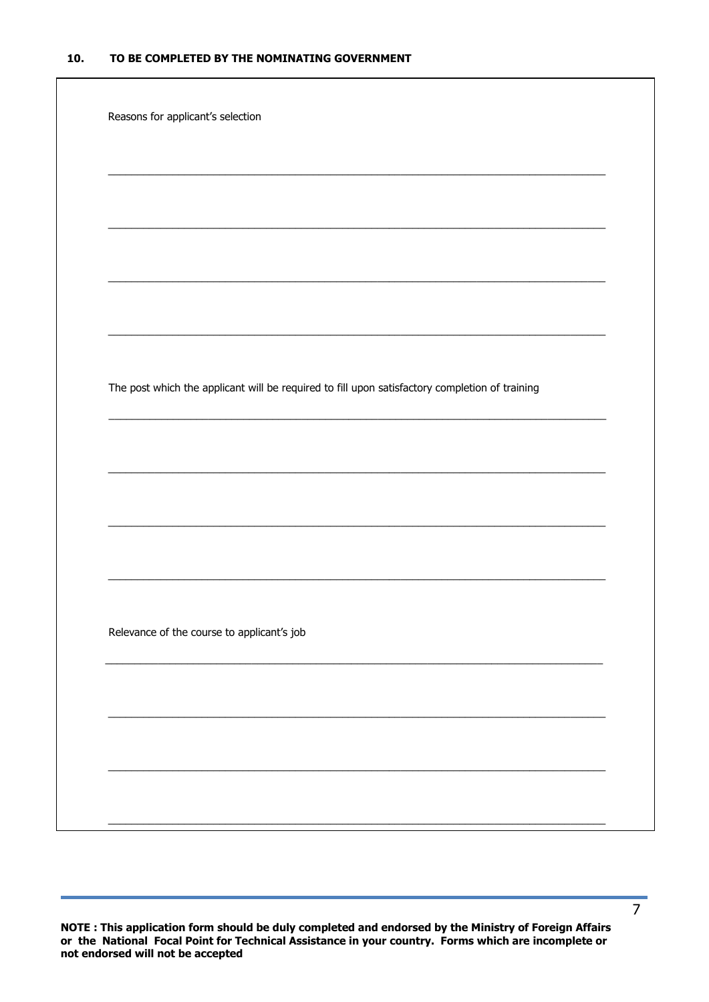| Reasons for applicant's selection                                                              |
|------------------------------------------------------------------------------------------------|
|                                                                                                |
|                                                                                                |
|                                                                                                |
|                                                                                                |
|                                                                                                |
|                                                                                                |
|                                                                                                |
|                                                                                                |
|                                                                                                |
|                                                                                                |
|                                                                                                |
|                                                                                                |
|                                                                                                |
|                                                                                                |
|                                                                                                |
| The post which the applicant will be required to fill upon satisfactory completion of training |
|                                                                                                |
|                                                                                                |
|                                                                                                |
|                                                                                                |
|                                                                                                |
|                                                                                                |
|                                                                                                |
|                                                                                                |
|                                                                                                |
|                                                                                                |
|                                                                                                |
|                                                                                                |
|                                                                                                |
| Relevance of the course to applicant's job                                                     |
|                                                                                                |
|                                                                                                |
|                                                                                                |
|                                                                                                |
|                                                                                                |
|                                                                                                |
|                                                                                                |
|                                                                                                |
|                                                                                                |
|                                                                                                |
|                                                                                                |